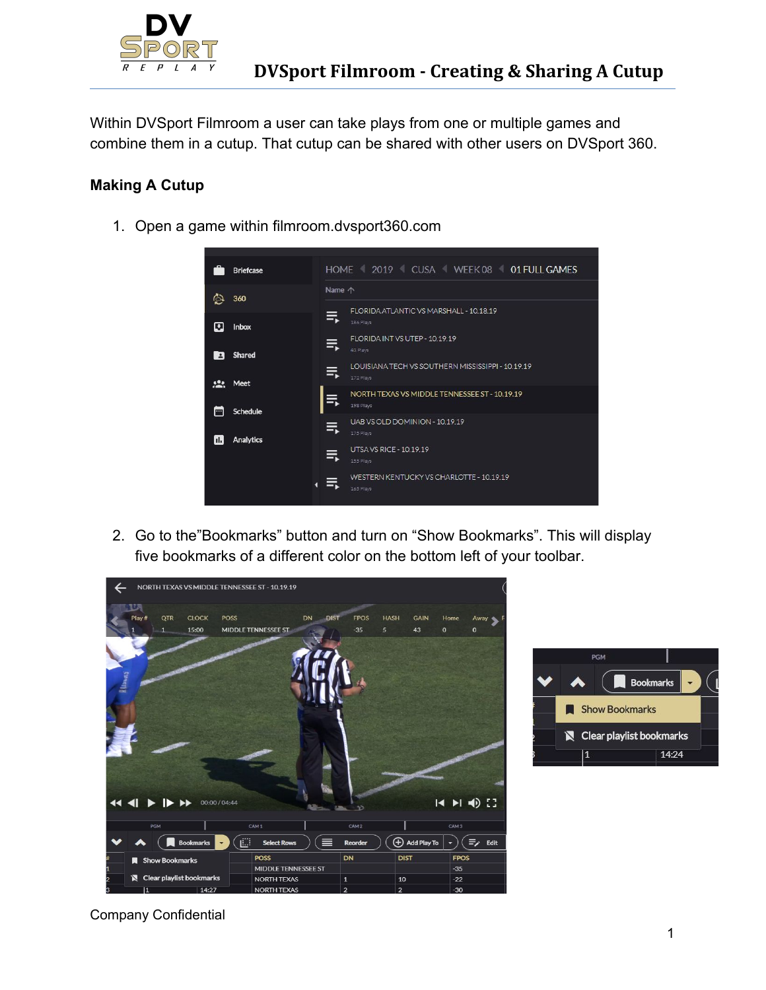

Within DVSport Filmroom a user can take plays from one or multiple games and combine them in a cutup. That cutup can be shared with other users on DVSport 360.

## **Making A Cutup**

1. Open a game within filmroom.dvsport360.com



2. Go to the"Bookmarks" button and turn on "Show Bookmarks". This will display five bookmarks of a different color on the bottom left of your toolbar.





Company Confidential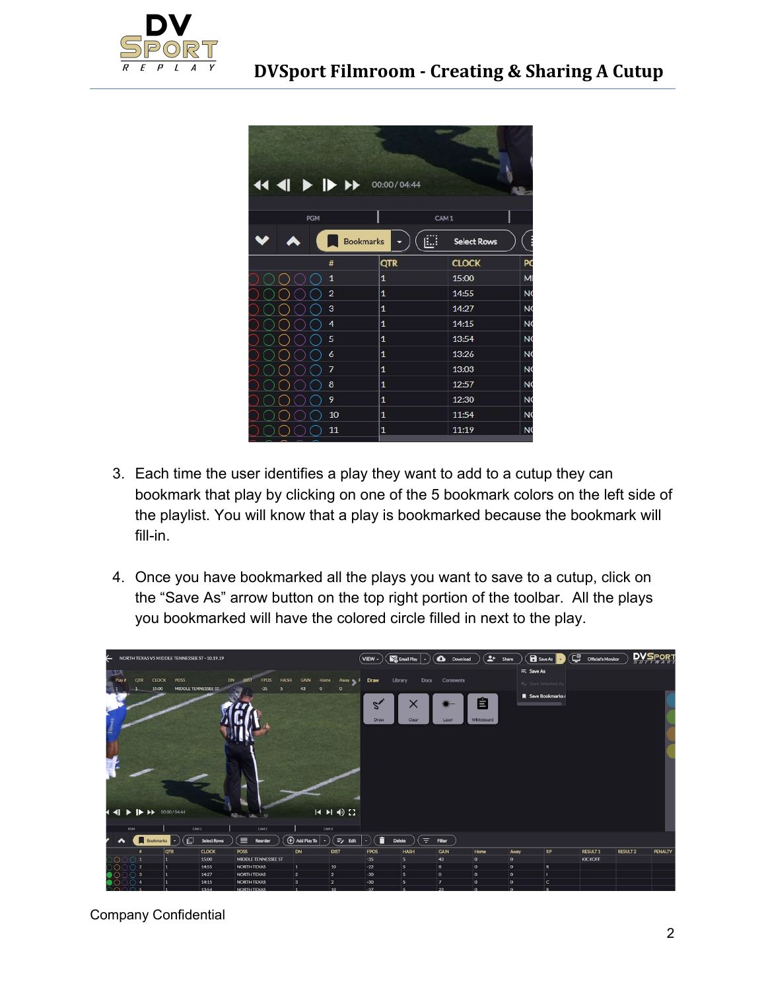

| $\leftarrow$ 4 4 $\rightarrow$ $\rightarrow$ $\rightarrow$ 00:00/04:44 |                  |                         |                |  |  |  |  |  |  |
|------------------------------------------------------------------------|------------------|-------------------------|----------------|--|--|--|--|--|--|
| <b>PGM</b>                                                             |                  | CAM <sub>1</sub>        |                |  |  |  |  |  |  |
|                                                                        | <b>Bookmarks</b> | ப<br><b>Select Rows</b> | F              |  |  |  |  |  |  |
| #                                                                      | <b>QTR</b>       | <b>CLOCK</b>            | PC             |  |  |  |  |  |  |
| $\mathbf{1}$                                                           | $\mathbf{1}$     | 15:00                   | M              |  |  |  |  |  |  |
| $\overline{2}$                                                         | $\mathbf{1}$     | 14:55                   | N <sub>C</sub> |  |  |  |  |  |  |
| 3                                                                      | $\mathbf{1}$     | 14:27                   | N <sub>C</sub> |  |  |  |  |  |  |
| 4                                                                      | $\mathbf{1}$     | 14:15                   | N <sub>C</sub> |  |  |  |  |  |  |
| 5                                                                      | 1                | 13:54                   | N <sub>C</sub> |  |  |  |  |  |  |
| 6                                                                      | $\mathbf{1}$     | 13:26                   | N <sub>C</sub> |  |  |  |  |  |  |
| 7                                                                      | $\mathbf{1}$     | 13:03                   | <b>NC</b>      |  |  |  |  |  |  |
| 8                                                                      | $\mathbf{1}$     | 12:57                   | N <sub>C</sub> |  |  |  |  |  |  |
| 9                                                                      | $\mathbf{1}$     | 12:30                   | N <sub>C</sub> |  |  |  |  |  |  |
| 10                                                                     | $\mathbf{1}$     | 11:54                   | N <sub>C</sub> |  |  |  |  |  |  |
| 11                                                                     | 1                | 11:19                   | N <sub>C</sub> |  |  |  |  |  |  |

- 3. Each time the user identifies a play they want to add to a cutup they can bookmark that play by clicking on one of the 5 bookmark colors on the left side of the playlist. You will know that a play is bookmarked because the bookmark will fill-in.
- 4. Once you have bookmarked all the plays you want to save to a cutup, click on the "Save As" arrow button on the top right portion of the toolbar. All the plays you bookmarked will have the colored circle filled in next to the play.



Company Confidential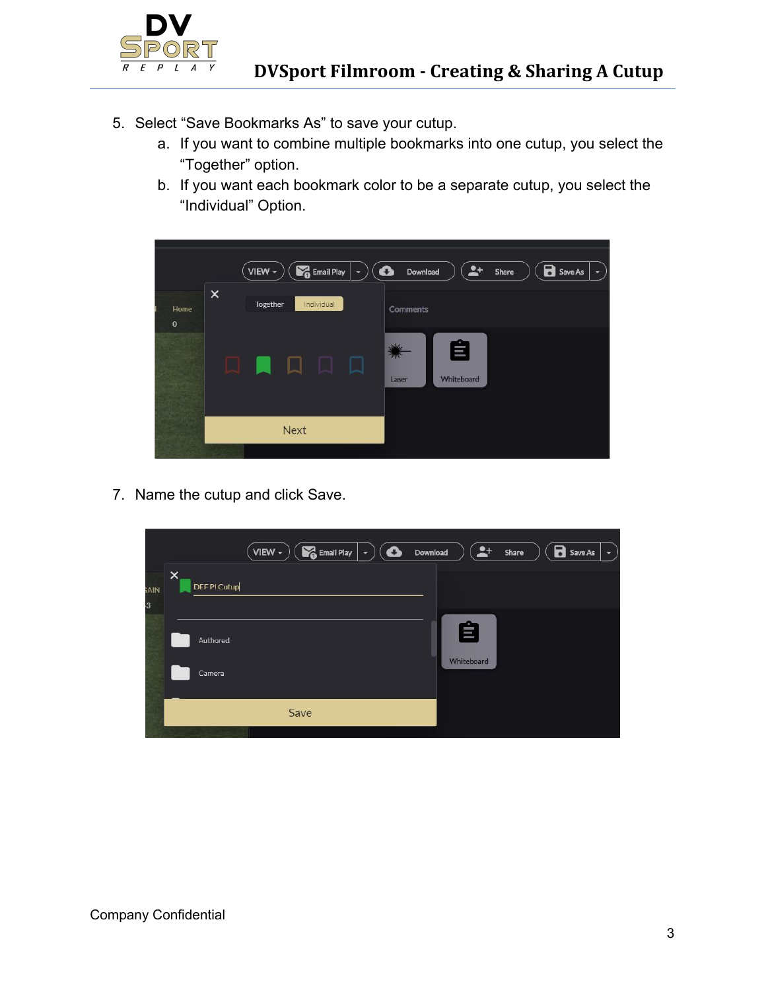

- 5. Select "Save Bookmarks As" to save your cutup.
	- a. If you want to combine multiple bookmarks into one cutup, you select the "Together" option.
	- b. If you want each bookmark color to be a separate cutup, you select the "Individual" Option.



7. Name the cutup and click Save.

|            | Email Play<br>VIEW $\overline{\phantom{a}}$<br>$\bullet$<br>$\overline{\phantom{a}}$ | $2+$<br>Download<br>Share | <b>B</b> Save As<br>$\overline{\phantom{a}}$ |
|------------|--------------------------------------------------------------------------------------|---------------------------|----------------------------------------------|
| <b>AIN</b> | $\times$<br><b>DEFPI Cutup</b>                                                       |                           |                                              |
| 3          |                                                                                      | 自                         |                                              |
|            | Authored                                                                             | Whiteboard                |                                              |
|            | Camera                                                                               |                           |                                              |
|            | Save                                                                                 |                           |                                              |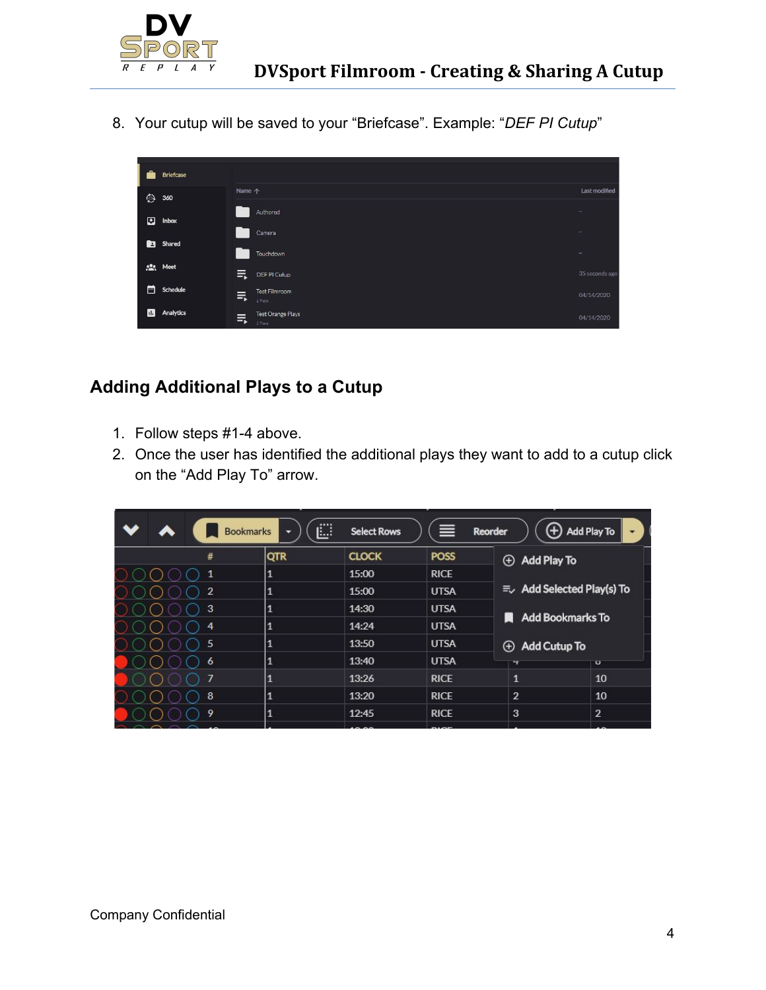

8. Your cutup will be saved to your "Briefcase". Example: "*DEF PI Cutup*"



## **Adding Additional Plays to a Cutup**

- 1. Follow steps #1-4 above.
- 2. Once the user has identified the additional plays they want to add to a cutup click on the "Add Play To" arrow.

|                | <br><b>Bookmarks</b><br>▼ | <b>Select Rows</b> | ≡           | $^{(+)}$<br><b>Reorder</b>         | Add Play To<br>٠             |  |  |
|----------------|---------------------------|--------------------|-------------|------------------------------------|------------------------------|--|--|
|                | E.                        |                    |             |                                    |                              |  |  |
| #              | <b>QTR</b>                | <b>CLOCK</b>       | <b>POSS</b> | <b>Add Play To</b><br>$\bigoplus$  |                              |  |  |
| 1              | 1                         | 15:00              | <b>RICE</b> |                                    |                              |  |  |
| $\overline{2}$ | $\mathbf{1}$              | 15:00              | <b>UTSA</b> | = Add Selected Play(s) To          |                              |  |  |
| 3              | 1                         | 14:30              | <b>UTSA</b> |                                    |                              |  |  |
| 4              | $\mathbf{1}$              | 14:24              | <b>UTSA</b> |                                    | <b>Add Bookmarks To</b><br>n |  |  |
| 5              | 1                         | 13:50              | <b>UTSA</b> | <b>Add Cutup To</b><br>$\bigoplus$ |                              |  |  |
| 6              | $\mathbf{1}$              | 13:40              | <b>UTSA</b> | ₩                                  | $\overline{O}$               |  |  |
| 7              | 1                         | 13:26              | <b>RICE</b> | $\mathbf{1}$                       | 10                           |  |  |
| 8              | $\mathbf{1}$              | 13:20              | <b>RICE</b> | $\overline{2}$                     | 10                           |  |  |
| 9              | $\mathbf{1}$              | 12:45              | <b>RICE</b> | 3                                  | $\overline{2}$               |  |  |
|                |                           |                    |             |                                    |                              |  |  |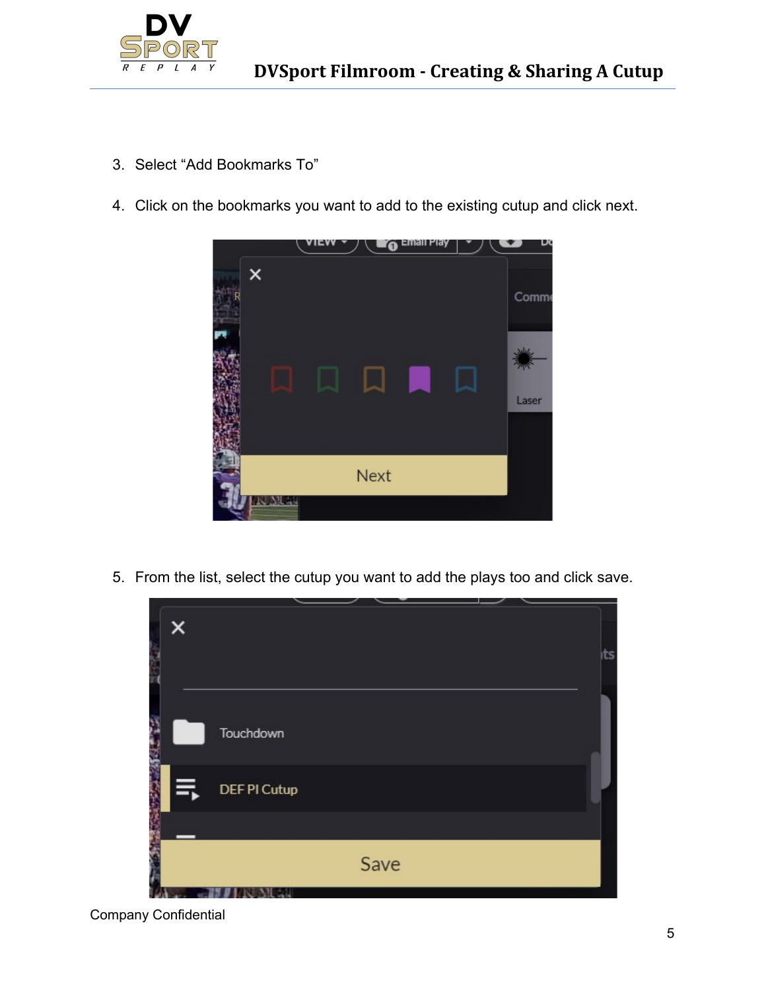

- 3. Select "Add Bookmarks To"
- 4. Click on the bookmarks you want to add to the existing cutup and click next.



5. From the list, select the cutup you want to add the plays too and click save.



Company Confidential